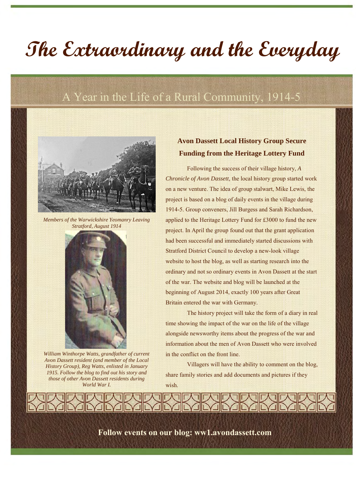# **The Extraordinary and the Everyday**

# A Year in the Life of a Rural Community, 1914-5



*Members of the Warwickshire Yeomanry Leaving Stratford, August 1914*



*William Winthorpe Watts, grandfather of current Avon Dassett resident (and member of the Local History Group), Reg Watts, enlisted in January 1915. Follow the blog to find out his story and those of other Avon Dassett residents during World War I.*

## **Avon Dassett Local History Group Secure Funding from the Heritage Lottery Fund**

Following the success of their village history, *A Chronicle of Avon Dassett,* the local history group started work on a new venture. The idea of group stalwart, Mike Lewis, the project is based on a blog of daily events in the village during 1914-5. Group conveners, Jill Burgess and Sarah Richardson, applied to the Heritage Lottery Fund for £3000 to fund the new project. In April the group found out that the grant application had been successful and immediately started discussions with Stratford District Council to develop a new-look village website to host the blog, as well as starting research into the ordinary and not so ordinary events in Avon Dassett at the start of the war. The website and blog will be launched at the beginning of August 2014, exactly 100 years after Great Britain entered the war with Germany.

The history project will take the form of a diary in real time showing the impact of the war on the life of the village alongside newsworthy items about the progress of the war and information about the men of Avon Dassett who were involved in the conflict on the front line.

Villagers will have the ability to comment on the blog, share family stories and add documents and pictures if they wish.

**Follow events on our blog: ww1.avondassett.com**